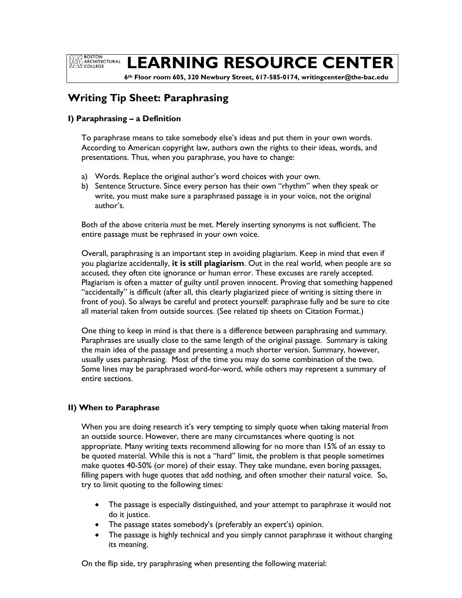**BOSTON EXAMPLE BOSTON<br>ARCHITECTURAL**<br>COLLEGE

# **LEARNING RESOURCE CENTER**

 **6th Floor room 605, 320 Newbury Street, 617-585-0174, writingcenter@the-bac.edu**

# **Writing Tip Sheet: Paraphrasing**

#### **I) Paraphrasing – a Definition**

To paraphrase means to take somebody else's ideas and put them in your own words. According to American copyright law, authors own the rights to their ideas, words, and presentations. Thus, when you paraphrase, you have to change:

- a) Words. Replace the original author's word choices with your own.
- b) Sentence Structure. Since every person has their own "rhythm" when they speak or write, you must make sure a paraphrased passage is in your voice, not the original author's.

Both of the above criteria *must* be met. Merely inserting synonyms is not sufficient. The entire passage must be rephrased in your own voice.

Overall, paraphrasing is an important step in avoiding plagiarism. Keep in mind that even if you plagiarize accidentally, **it is still plagiarism**. Out in the real world, when people are so accused, they often cite ignorance or human error. These excuses are rarely accepted. Plagiarism is often a matter of guilty until proven innocent. Proving that something happened "accidentally" is difficult (after all, this clearly plagiarized piece of writing is sitting there in front of you). So always be careful and protect yourself: paraphrase fully and be sure to cite all material taken from outside sources. (See related tip sheets on Citation Format.)

One thing to keep in mind is that there is a difference between paraphrasing and summary. Paraphrases are usually close to the same length of the original passage. Summary is taking the main idea of the passage and presenting a much shorter version. Summary, however, usually uses paraphrasing. Most of the time you may do some combination of the two. Some lines may be paraphrased word-for-word, while others may represent a summary of entire sections.

#### **II) When to Paraphrase**

When you are doing research it's very tempting to simply quote when taking material from an outside source. However, there are many circumstances where quoting is not appropriate. Many writing texts recommend allowing for no more than 15% of an essay to be quoted material. While this is not a "hard" limit, the problem is that people sometimes make quotes 40-50% (or more) of their essay. They take mundane, even boring passages, filling papers with huge quotes that add nothing, and often smother their natural voice. So, try to limit quoting to the following times:

- The passage is especially distinguished, and your attempt to paraphrase it would not do it justice.
- The passage states somebody's (preferably an expert's) opinion.
- The passage is highly technical and you simply cannot paraphrase it without changing its meaning.

On the flip side, try paraphrasing when presenting the following material: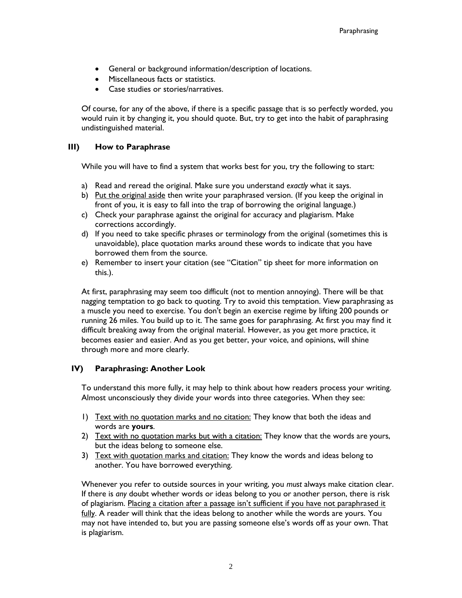- General or background information/description of locations.
- Miscellaneous facts or statistics.
- Case studies or stories/narratives.

Of course, for any of the above, if there is a specific passage that is so perfectly worded, you would ruin it by changing it, you should quote. But, try to get into the habit of paraphrasing undistinguished material.

#### **III) How to Paraphrase**

While you will have to find a system that works best for you, try the following to start:

- a) Read and reread the original. Make sure you understand *exactly* what it says.
- b) Put the original aside then write your paraphrased version. (If you keep the original in front of you, it is easy to fall into the trap of borrowing the original language.)
- c) Check your paraphrase against the original for accuracy and plagiarism. Make corrections accordingly.
- d) If you need to take specific phrases or terminology from the original (sometimes this is unavoidable), place quotation marks around these words to indicate that you have borrowed them from the source.
- e) Remember to insert your citation (see "Citation" tip sheet for more information on this.).

At first, paraphrasing may seem too difficult (not to mention annoying). There will be that nagging temptation to go back to quoting. Try to avoid this temptation. View paraphrasing as a muscle you need to exercise. You don't begin an exercise regime by lifting 200 pounds or running 26 miles. You build up to it. The same goes for paraphrasing. At first you may find it difficult breaking away from the original material. However, as you get more practice, it becomes easier and easier. And as you get better, your voice, and opinions, will shine through more and more clearly.

#### **IV) Paraphrasing: Another Look**

To understand this more fully, it may help to think about how readers process your writing. Almost unconsciously they divide your words into three categories. When they see:

- 1) Text with no quotation marks and no citation: They know that both the ideas and words are **yours**.
- 2) Text with no quotation marks but with a citation: They know that the words are yours, but the ideas belong to someone else.
- 3) Text with quotation marks and citation: They know the words and ideas belong to another. You have borrowed everything.

Whenever you refer to outside sources in your writing, you *must* always make citation clear. If there is *any* doubt whether words or ideas belong to you or another person, there is risk of plagiarism. Placing a citation after a passage isn't sufficient if you have not paraphrased it fully. A reader will think that the ideas belong to another while the words are yours. You may not have intended to, but you are passing someone else's words off as your own. That is plagiarism.